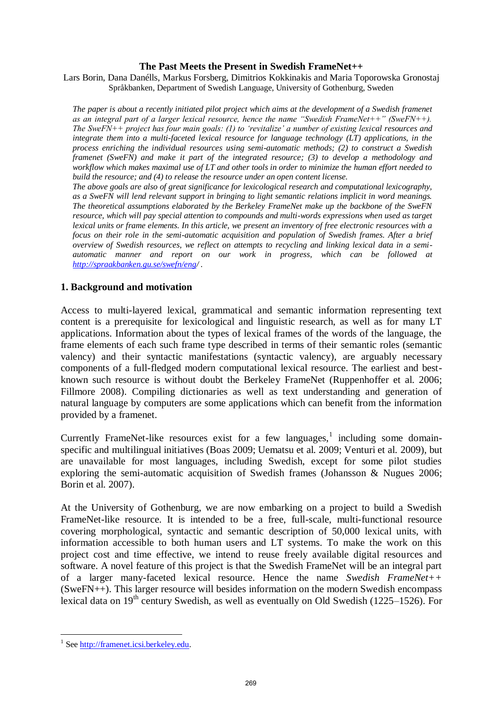#### **The Past Meets the Present in Swedish FrameNet++**

Lars Borin, Dana Danélls, Markus Forsberg, Dimitrios Kokkinakis and Maria Toporowska Gronostaj Språkbanken, Department of Swedish Language, University of Gothenburg, Sweden

*The paper is about a recently initiated pilot project which aims at the development of a Swedish framenet as an integral part of a larger lexical resource, hence the name "Swedish FrameNet++" (SweFN++). The SweFN++ project has four main goals: (1) to "revitalize" a number of existing lexical resources and integrate them into a multi-faceted lexical resource for language technology (LT) applications, in the process enriching the individual resources using semi-automatic methods; (2) to construct a Swedish framenet (SweFN) and make it part of the integrated resource; (3) to develop a methodology and workflow which makes maximal use of LT and other tools in order to minimize the human effort needed to build the resource; and (4) to release the resource under an open content license.* 

*The above goals are also of great significance for lexicological research and computational lexicography, as a SweFN will lend relevant support in bringing to light semantic relations implicit in word meanings. The theoretical assumptions elaborated by the Berkeley FrameNet make up the backbone of the SweFN resource, which will pay special attention to compounds and multi-words expressions when used as target lexical units or frame elements. In this article, we present an inventory of free electronic resources with a focus on their role in the semi-automatic acquisition and population of Swedish frames. After a brief overview of Swedish resources, we reflect on attempts to recycling and linking lexical data in a semiautomatic manner and report on our work in progress, which can be followed at <http://spraakbanken.gu.se/swefn/eng/> .* 

### **1. Background and motivation**

Access to multi-layered lexical, grammatical and semantic information representing text content is a prerequisite for lexicological and linguistic research, as well as for many LT applications. Information about the types of lexical frames of the words of the language, the frame elements of each such frame type described in terms of their semantic roles (semantic valency) and their syntactic manifestations (syntactic valency), are arguably necessary components of a full-fledged modern computational lexical resource. The earliest and bestknown such resource is without doubt the Berkeley FrameNet (Ruppenhoffer et al. 2006; Fillmore 2008). Compiling dictionaries as well as text understanding and generation of natural language by computers are some applications which can benefit from the information provided by a framenet.

Currently FrameNet-like resources exist for a few languages,<sup>1</sup> including some domainspecific and multilingual initiatives (Boas 2009; Uematsu et al. 2009; Venturi et al. 2009), but are unavailable for most languages, including Swedish, except for some pilot studies exploring the semi-automatic acquisition of Swedish frames (Johansson & Nugues 2006; Borin et al. 2007).

At the University of Gothenburg, we are now embarking on a project to build a Swedish FrameNet-like resource. It is intended to be a free, full-scale, multi-functional resource covering morphological, syntactic and semantic description of 50,000 lexical units, with information accessible to both human users and LT systems. To make the work on this project cost and time effective, we intend to reuse freely available digital resources and software. A novel feature of this project is that the Swedish FrameNet will be an integral part of a larger many-faceted lexical resource. Hence the name *Swedish FrameNet++*  (SweFN++). This larger resource will besides information on the modern Swedish encompass lexical data on  $19<sup>th</sup>$  century Swedish, as well as eventually on Old Swedish (1225–1526). For

1

<sup>&</sup>lt;sup>1</sup> Se[e http://framenet.icsi.berkeley.edu.](http://framenet.icsi.berkeley.edu/)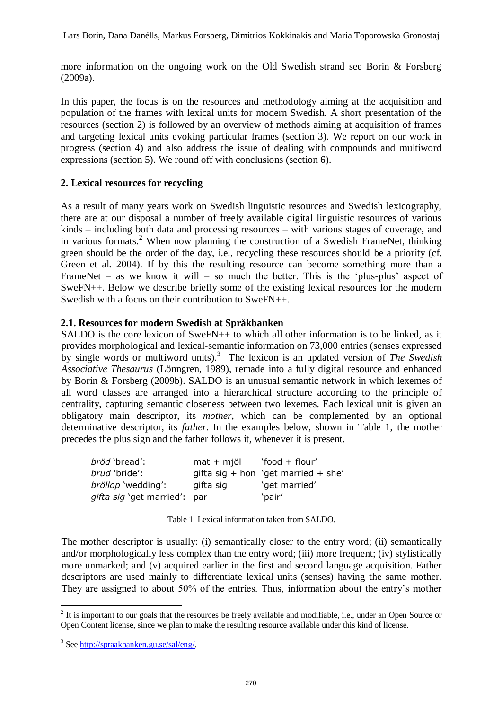more information on the ongoing work on the Old Swedish strand see Borin & Forsberg (2009a).

In this paper, the focus is on the resources and methodology aiming at the acquisition and population of the frames with lexical units for modern Swedish. A short presentation of the resources (section 2) is followed by an overview of methods aiming at acquisition of frames and targeting lexical units evoking particular frames (section 3). We report on our work in progress (section 4) and also address the issue of dealing with compounds and multiword expressions (section 5). We round off with conclusions (section 6).

# **2. Lexical resources for recycling**

As a result of many years work on Swedish linguistic resources and Swedish lexicography, there are at our disposal a number of freely available digital linguistic resources of various kinds – including both data and processing resources – with various stages of coverage, and in various formats.<sup>2</sup> When now planning the construction of a Swedish FrameNet, thinking green should be the order of the day, i.e., recycling these resources should be a priority (cf. Green et al. 2004). If by this the resulting resource can become something more than a FrameNet – as we know it will – so much the better. This is the 'plus-plus' aspect of SweFN++. Below we describe briefly some of the existing lexical resources for the modern Swedish with a focus on their contribution to SweFN++.

### **2.1. Resources for modern Swedish at Språkbanken**

SALDO is the core lexicon of SweFN++ to which all other information is to be linked, as it provides morphological and lexical-semantic information on 73,000 entries (senses expressed by single words or multiword units).<sup>3</sup> The lexicon is an updated version of *The Swedish Associative Thesaurus* (Lönngren, 1989), remade into a fully digital resource and enhanced by Borin & Forsberg (2009b). SALDO is an unusual semantic network in which lexemes of all word classes are arranged into a hierarchical structure according to the principle of centrality, capturing semantic closeness between two lexemes. Each lexical unit is given an obligatory main descriptor, its *mother*, which can be complemented by an optional determinative descriptor, its *father*. In the examples below, shown in Table 1, the mother precedes the plus sign and the father follows it, whenever it is present.

| <i>bröd</i> `bread':         | $mat + mjol$ | 'food + flour'                      |
|------------------------------|--------------|-------------------------------------|
| <i>brud</i> `bride':         |              | gifta sig + hon 'get married + she' |
| bröllop 'wedding':           | gifta sig    | 'get married'                       |
| gifta sig 'get married': par |              | 'pair'                              |

Table 1. Lexical information taken from SALDO.

The mother descriptor is usually: (i) semantically closer to the entry word; (ii) semantically and/or morphologically less complex than the entry word; (iii) more frequent; (iv) stylistically more unmarked; and (v) acquired earlier in the first and second language acquisition. Father descriptors are used mainly to differentiate lexical units (senses) having the same mother. They are assigned to about 50% of the entries. Thus, information about the entry"s mother

<u>.</u>

 $2$  It is important to our goals that the resources be freely available and modifiable, i.e., under an Open Source or Open Content license, since we plan to make the resulting resource available under this kind of license.

<sup>&</sup>lt;sup>3</sup> Se[e http://spraakbanken.gu.se/sal/eng/.](http://spraakbanken.gu.se/sal/eng/)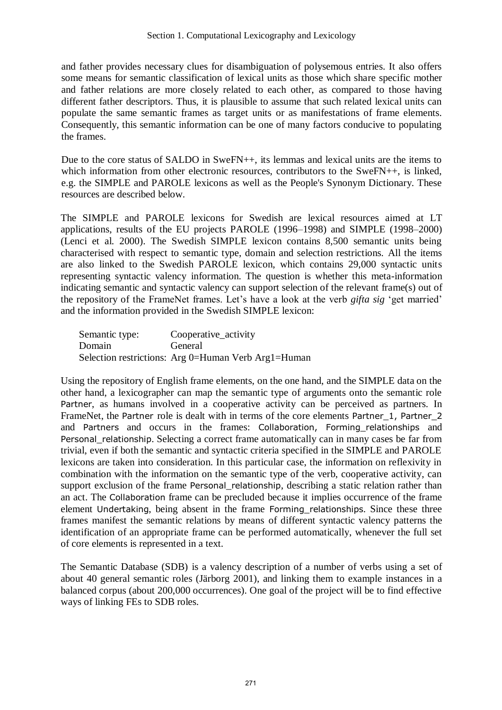and father provides necessary clues for disambiguation of polysemous entries. It also offers some means for semantic classification of lexical units as those which share specific mother and father relations are more closely related to each other, as compared to those having different father descriptors. Thus, it is plausible to assume that such related lexical units can populate the same semantic frames as target units or as manifestations of frame elements. Consequently, this semantic information can be one of many factors conducive to populating the frames.

Due to the core status of SALDO in SweFN++, its lemmas and lexical units are the items to which information from other electronic resources, contributors to the SweFN++, is linked, e.g. the SIMPLE and PAROLE lexicons as well as the People's Synonym Dictionary. These resources are described below.

The SIMPLE and PAROLE lexicons for Swedish are lexical resources aimed at LT applications, results of the EU projects PAROLE (1996–1998) and SIMPLE (1998–2000) (Lenci et al. 2000). The Swedish SIMPLE lexicon contains 8,500 semantic units being characterised with respect to semantic type, domain and selection restrictions. All the items are also linked to the Swedish PAROLE lexicon, which contains 29,000 syntactic units representing syntactic valency information. The question is whether this meta-information indicating semantic and syntactic valency can support selection of the relevant frame(s) out of the repository of the FrameNet frames. Let's have a look at the verb *gifta sig* 'get married' and the information provided in the Swedish SIMPLE lexicon:

| Semantic type: | Cooperative_activity                                |
|----------------|-----------------------------------------------------|
| Domain         | General                                             |
|                | Selection restrictions: Arg 0=Human Verb Arg1=Human |

Using the repository of English frame elements, on the one hand, and the SIMPLE data on the other hand, a lexicographer can map the semantic type of arguments onto the semantic role Partner, as humans involved in a cooperative activity can be perceived as partners. In FrameNet, the Partner role is dealt with in terms of the core elements Partner 1, Partner 2 and Partners and occurs in the frames: Collaboration, Forming\_relationships and Personal\_relationship. Selecting a correct frame automatically can in many cases be far from trivial, even if both the semantic and syntactic criteria specified in the SIMPLE and PAROLE lexicons are taken into consideration. In this particular case, the information on reflexivity in combination with the information on the semantic type of the verb, cooperative activity, can support exclusion of the frame Personal relationship, describing a static relation rather than an act. The Collaboration frame can be precluded because it implies occurrence of the frame element Undertaking, being absent in the frame Forming\_relationships. Since these three frames manifest the semantic relations by means of different syntactic valency patterns the identification of an appropriate frame can be performed automatically, whenever the full set of core elements is represented in a text.

The Semantic Database (SDB) is a valency description of a number of verbs using a set of about 40 general semantic roles (Järborg 2001), and linking them to example instances in a balanced corpus (about 200,000 occurrences). One goal of the project will be to find effective ways of linking FEs to SDB roles.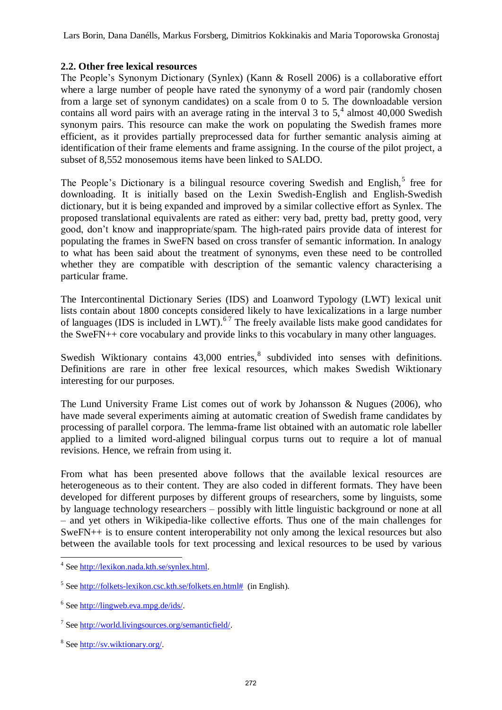Lars Borin, Dana Danélls, Markus Forsberg, Dimitrios Kokkinakis and Maria Toporowska Gronostaj

### **2.2. Other free lexical resources**

The People"s Synonym Dictionary (Synlex) (Kann & Rosell 2006) is a collaborative effort where a large number of people have rated the synonymy of a word pair (randomly chosen from a large set of synonym candidates) on a scale from 0 to 5. The downloadable version contains all word pairs with an average rating in the interval 3 to  $5<sup>4</sup>$  almost 40,000 Swedish synonym pairs. This resource can make the work on populating the Swedish frames more efficient, as it provides partially preprocessed data for further semantic analysis aiming at identification of their frame elements and frame assigning. In the course of the pilot project, a subset of 8,552 monosemous items have been linked to SALDO.

The People's Dictionary is a bilingual resource covering Swedish and English,<sup>5</sup> free for downloading. It is initially based on the Lexin Swedish-English and English-Swedish dictionary, but it is being expanded and improved by a similar collective effort as Synlex. The proposed translational equivalents are rated as either: very bad, pretty bad, pretty good, very good, don"t know and inappropriate/spam. The high-rated pairs provide data of interest for populating the frames in SweFN based on cross transfer of semantic information. In analogy to what has been said about the treatment of synonyms, even these need to be controlled whether they are compatible with description of the semantic valency characterising a particular frame.

The Intercontinental Dictionary Series (IDS) and Loanword Typology (LWT) lexical unit lists contain about 1800 concepts considered likely to have lexicalizations in a large number of languages (IDS is included in LWT). $67$  The freely available lists make good candidates for the SweFN++ core vocabulary and provide links to this vocabulary in many other languages.

Swedish Wiktionary contains  $43,000$  entries,  $8$  subdivided into senses with definitions. Definitions are rare in other free lexical resources, which makes Swedish Wiktionary interesting for our purposes.

The Lund University Frame List comes out of work by Johansson & Nugues (2006), who have made several experiments aiming at automatic creation of Swedish frame candidates by processing of parallel corpora. The lemma-frame list obtained with an automatic role labeller applied to a limited word-aligned bilingual corpus turns out to require a lot of manual revisions. Hence, we refrain from using it.

From what has been presented above follows that the available lexical resources are heterogeneous as to their content. They are also coded in different formats. They have been developed for different purposes by different groups of researchers, some by linguists, some by language technology researchers – possibly with little linguistic background or none at all – and yet others in Wikipedia-like collective efforts. Thus one of the main challenges for SweFN++ is to ensure content interoperability not only among the lexical resources but also between the available tools for text processing and lexical resources to be used by various

<sup>&</sup>lt;u>.</u> <sup>4</sup> Se[e http://lexikon.nada.kth.se/synlex.html.](http://lexikon.nada.kth.se/synlex.html)

<sup>&</sup>lt;sup>5</sup> Se[e http://folkets-lexikon.csc.kth.se/folkets.en.html#](http://folkets-lexikon.csc.kth.se/folkets.en.html) (in English).

 $6$  Se[e http://lingweb.eva.mpg.de/ids/.](http://lingweb.eva.mpg.de/ids/)

<sup>&</sup>lt;sup>7</sup> Se[e http://world.livingsources.org/semanticfield/.](http://world.livingsources.org/semanticfield/)

<sup>&</sup>lt;sup>8</sup> Se[e http://sv.wiktionary.org/.](http://sv.wiktionary.org/)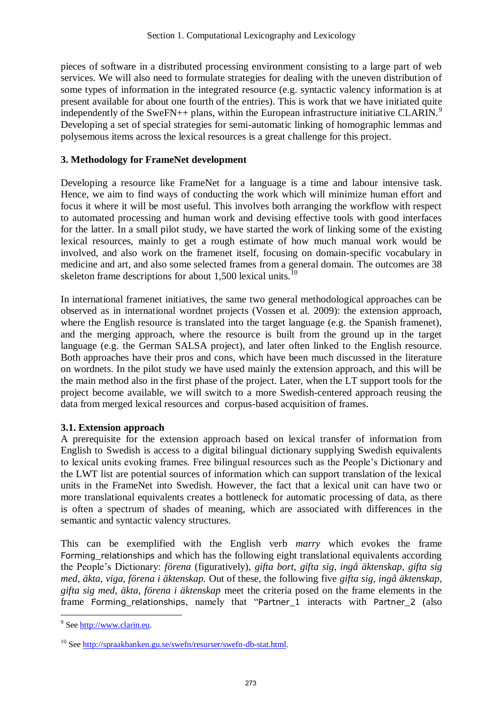pieces of software in a distributed processing environment consisting to a large part of web services. We will also need to formulate strategies for dealing with the uneven distribution of some types of information in the integrated resource (e.g. syntactic valency information is at present available for about one fourth of the entries). This is work that we have initiated quite independently of the SweFN++ plans, within the European infrastructure initiative CLARIN.<sup>9</sup> Developing a set of special strategies for semi-automatic linking of homographic lemmas and polysemous items across the lexical resources is a great challenge for this project.

# **3. Methodology for FrameNet development**

Developing a resource like FrameNet for a language is a time and labour intensive task. Hence, we aim to find ways of conducting the work which will minimize human effort and focus it where it will be most useful. This involves both arranging the workflow with respect to automated processing and human work and devising effective tools with good interfaces for the latter. In a small pilot study, we have started the work of linking some of the existing lexical resources, mainly to get a rough estimate of how much manual work would be involved, and also work on the framenet itself, focusing on domain-specific vocabulary in medicine and art, and also some selected frames from a general domain. The outcomes are 38 skeleton frame descriptions for about 1,500 lexical units.<sup>10</sup>

In international framenet initiatives, the same two general methodological approaches can be observed as in international wordnet projects (Vossen et al. 2009): the extension approach, where the English resource is translated into the target language (e.g. the Spanish framenet), and the merging approach, where the resource is built from the ground up in the target language (e.g. the German SALSA project), and later often linked to the English resource. Both approaches have their pros and cons, which have been much discussed in the literature on wordnets. In the pilot study we have used mainly the extension approach, and this will be the main method also in the first phase of the project. Later, when the LT support tools for the project become available, we will switch to a more Swedish-centered approach reusing the data from merged lexical resources and corpus-based acquisition of frames.

# **3.1. Extension approach**

A prerequisite for the extension approach based on lexical transfer of information from English to Swedish is access to a digital bilingual dictionary supplying Swedish equivalents to lexical units evoking frames. Free bilingual resources such as the People"s Dictionary and the LWT list are potential sources of information which can support translation of the lexical units in the FrameNet into Swedish. However, the fact that a lexical unit can have two or more translational equivalents creates a bottleneck for automatic processing of data, as there is often a spectrum of shades of meaning, which are associated with differences in the semantic and syntactic valency structures.

This can be exemplified with the English verb *marry* which evokes the frame Forming relationships and which has the following eight translational equivalents according the People"s Dictionary: *förena* (figuratively), *gifta bort, gifta sig, ingå äktenskap, gifta sig med, äkta, viga, förena i äktenskap.* Out of these, the following five *gifta sig, ingå äktenskap, gifta sig med, äkta, förena i äktenskap* meet the criteria posed on the frame elements in the frame Forming relationships, namely that "Partner 1 interacts with Partner 2 (also

<sup>&</sup>lt;sup>9</sup> Se[e http://www.clarin.eu.](http://www.clarin.eu/)

<sup>10</sup> See [http://spraakbanken.gu.se/swefn/resurser/swefn-db-stat.html.](http://spraakbanken.gu.se/swefn/resurser/swefn-db-stat.html)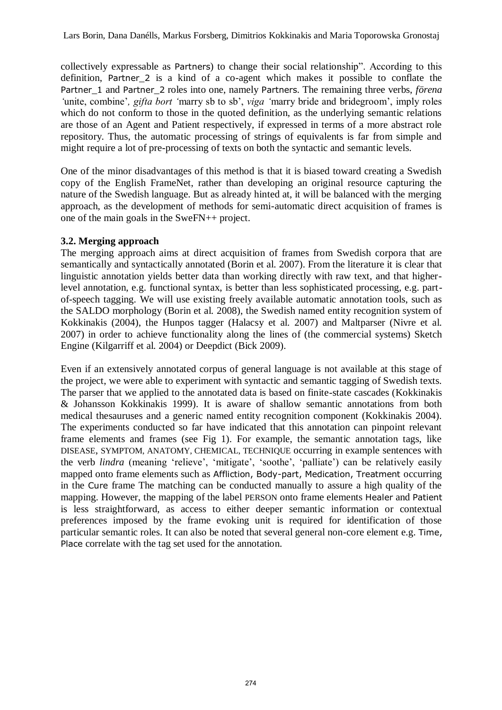collectively expressable as Partners) to change their social relationship". According to this definition, Partner\_2 is a kind of a co-agent which makes it possible to conflate the Partner\_1 and Partner\_2 roles into one, namely Partners. The remaining three verbs, *förena*  'unite, combine', gifta bort 'marry sb to sb', *viga* 'marry bride and bridegroom', imply roles which do not conform to those in the quoted definition, as the underlying semantic relations are those of an Agent and Patient respectively, if expressed in terms of a more abstract role repository. Thus, the automatic processing of strings of equivalents is far from simple and might require a lot of pre-processing of texts on both the syntactic and semantic levels.

One of the minor disadvantages of this method is that it is biased toward creating a Swedish copy of the English FrameNet, rather than developing an original resource capturing the nature of the Swedish language. But as already hinted at, it will be balanced with the merging approach, as the development of methods for semi-automatic direct acquisition of frames is one of the main goals in the SweFN++ project.

### **3.2. Merging approach**

The merging approach aims at direct acquisition of frames from Swedish corpora that are semantically and syntactically annotated (Borin et al. 2007). From the literature it is clear that linguistic annotation yields better data than working directly with raw text, and that higherlevel annotation, e.g. functional syntax, is better than less sophisticated processing, e.g. partof-speech tagging. We will use existing freely available automatic annotation tools, such as the SALDO morphology (Borin et al. 2008), the Swedish named entity recognition system of Kokkinakis (2004), the Hunpos tagger (Halacsy et al. 2007) and Maltparser (Nivre et al. 2007) in order to achieve functionality along the lines of (the commercial systems) Sketch Engine (Kilgarriff et al. 2004) or Deepdict (Bick 2009).

Even if an extensively annotated corpus of general language is not available at this stage of the project, we were able to experiment with syntactic and semantic tagging of Swedish texts. The parser that we applied to the annotated data is based on finite-state cascades (Kokkinakis & Johansson Kokkinakis 1999). It is aware of shallow semantic annotations from both medical thesauruses and a generic named entity recognition component (Kokkinakis 2004). The experiments conducted so far have indicated that this annotation can pinpoint relevant frame elements and frames (see Fig 1). For example, the semantic annotation tags, like DISEASE, SYMPTOM, ANATOMY, CHEMICAL, TECHNIQUE occurring in example sentences with the verb *lindra* (meaning 'relieve', 'mitigate', 'soothe', 'palliate') can be relatively easily mapped onto frame elements such as Affliction, Body-part, Medication, Treatment occurring in the Cure frame The matching can be conducted manually to assure a high quality of the mapping. However, the mapping of the label PERSON onto frame elements Healer and Patient is less straightforward, as access to either deeper semantic information or contextual preferences imposed by the frame evoking unit is required for identification of those particular semantic roles. It can also be noted that several general non-core element e.g. Time, Place correlate with the tag set used for the annotation.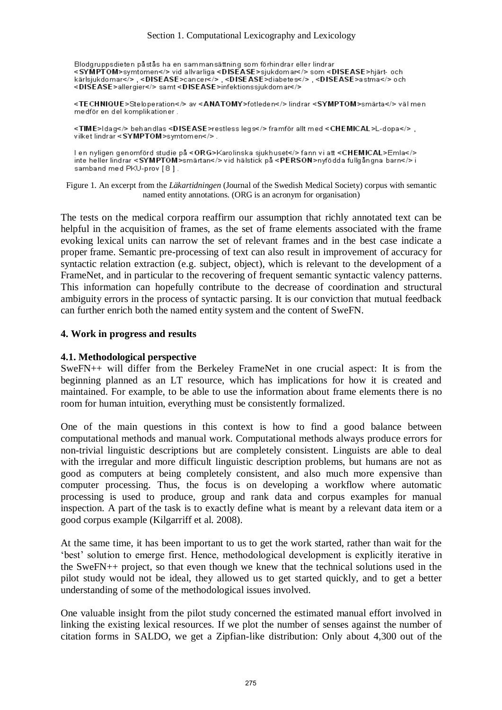Blodgruppsdieten påstås ha en sammansättning som förhindrar eller lindrar <SYMPTOM>symtomen</>></br>/> vid allvarliga<br/> <br/>DISEASE>sjukdomar</></>></>></>></></>SPASE>hjärt- och <DISEASE>allergier</></>> samt<DISEASE>infektionssjukdomar</></>>>

<TECHNIQUE>Steloperation</> av <ANATOMY>fotleden</>></>>lindrar<SYMPTOM>smärta</></>>> väl men medför en del komplikationer.

<TIME>Idag</> behandlas <DISEASE>restless legs</>s</>> framför allt med <CHEMICAL>L-dopa</>></>> vilket lindrar <SYMPTOM>symtomen</>></>>

l en nyligen genomförd studie på <ORG>Karolinska sjukhuset</>tsann vi att <CHEMICAL>Emla</>a</>> inte heller lindrar <SYMPTOM>smärtan</>></>> vid hälstick på <PERSON>nyfödda fullgångna barn</></>>> i samband med PKU-prov [8].

Figure 1. An excerpt from the *Läkartidningen* (Journal of the Swedish Medical Society) corpus with semantic named entity annotations. (ORG is an acronym for organisation)

The tests on the medical corpora reaffirm our assumption that richly annotated text can be helpful in the acquisition of frames, as the set of frame elements associated with the frame evoking lexical units can narrow the set of relevant frames and in the best case indicate a proper frame. Semantic pre-processing of text can also result in improvement of accuracy for syntactic relation extraction (e.g. subject, object), which is relevant to the development of a FrameNet, and in particular to the recovering of frequent semantic syntactic valency patterns. This information can hopefully contribute to the decrease of coordination and structural ambiguity errors in the process of syntactic parsing. It is our conviction that mutual feedback can further enrich both the named entity system and the content of SweFN.

#### **4. Work in progress and results**

#### **4.1. Methodological perspective**

SweFN++ will differ from the Berkeley FrameNet in one crucial aspect: It is from the beginning planned as an LT resource, which has implications for how it is created and maintained. For example, to be able to use the information about frame elements there is no room for human intuition, everything must be consistently formalized.

One of the main questions in this context is how to find a good balance between computational methods and manual work. Computational methods always produce errors for non-trivial linguistic descriptions but are completely consistent. Linguists are able to deal with the irregular and more difficult linguistic description problems, but humans are not as good as computers at being completely consistent, and also much more expensive than computer processing. Thus, the focus is on developing a workflow where automatic processing is used to produce, group and rank data and corpus examples for manual inspection. A part of the task is to exactly define what is meant by a relevant data item or a good corpus example (Kilgarriff et al. 2008).

At the same time, it has been important to us to get the work started, rather than wait for the "best" solution to emerge first. Hence, methodological development is explicitly iterative in the SweFN++ project, so that even though we knew that the technical solutions used in the pilot study would not be ideal, they allowed us to get started quickly, and to get a better understanding of some of the methodological issues involved.

One valuable insight from the pilot study concerned the estimated manual effort involved in linking the existing lexical resources. If we plot the number of senses against the number of citation forms in SALDO, we get a Zipfian-like distribution: Only about 4,300 out of the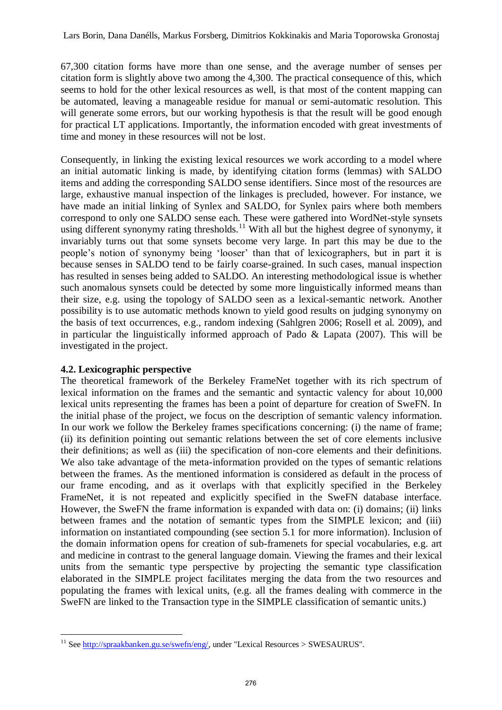67,300 citation forms have more than one sense, and the average number of senses per citation form is slightly above two among the 4,300. The practical consequence of this, which seems to hold for the other lexical resources as well, is that most of the content mapping can be automated, leaving a manageable residue for manual or semi-automatic resolution. This will generate some errors, but our working hypothesis is that the result will be good enough for practical LT applications. Importantly, the information encoded with great investments of time and money in these resources will not be lost.

Consequently, in linking the existing lexical resources we work according to a model where an initial automatic linking is made, by identifying citation forms (lemmas) with SALDO items and adding the corresponding SALDO sense identifiers. Since most of the resources are large, exhaustive manual inspection of the linkages is precluded, however. For instance, we have made an initial linking of Synlex and SALDO, for Synlex pairs where both members correspond to only one SALDO sense each. These were gathered into WordNet-style synsets using different synonymy rating thresholds.<sup>11</sup> With all but the highest degree of synonymy, it invariably turns out that some synsets become very large. In part this may be due to the people"s notion of synonymy being "looser" than that of lexicographers, but in part it is because senses in SALDO tend to be fairly coarse-grained. In such cases, manual inspection has resulted in senses being added to SALDO. An interesting methodological issue is whether such anomalous synsets could be detected by some more linguistically informed means than their size, e.g. using the topology of SALDO seen as a lexical-semantic network. Another possibility is to use automatic methods known to yield good results on judging synonymy on the basis of text occurrences, e.g., random indexing (Sahlgren 2006; Rosell et al. 2009), and in particular the linguistically informed approach of Pado & Lapata (2007). This will be investigated in the project.

### **4.2. Lexicographic perspective**

1

The theoretical framework of the Berkeley FrameNet together with its rich spectrum of lexical information on the frames and the semantic and syntactic valency for about 10,000 lexical units representing the frames has been a point of departure for creation of SweFN. In the initial phase of the project, we focus on the description of semantic valency information. In our work we follow the Berkeley frames specifications concerning: (i) the name of frame; (ii) its definition pointing out semantic relations between the set of core elements inclusive their definitions; as well as (iii) the specification of non-core elements and their definitions. We also take advantage of the meta-information provided on the types of semantic relations between the frames. As the mentioned information is considered as default in the process of our frame encoding, and as it overlaps with that explicitly specified in the Berkeley FrameNet, it is not repeated and explicitly specified in the SweFN database interface. However, the SweFN the frame information is expanded with data on: (i) domains; (ii) links between frames and the notation of semantic types from the SIMPLE lexicon; and (iii) information on instantiated compounding (see section 5.1 for more information). Inclusion of the domain information opens for creation of sub-framenets for special vocabularies, e.g. art and medicine in contrast to the general language domain. Viewing the frames and their lexical units from the semantic type perspective by projecting the semantic type classification elaborated in the SIMPLE project facilitates merging the data from the two resources and populating the frames with lexical units, (e.g. all the frames dealing with commerce in the SweFN are linked to the Transaction type in the SIMPLE classification of semantic units.)

<sup>&</sup>lt;sup>11</sup> See [http://spraakbanken.gu.se/swefn/eng/,](http://spraakbanken.gu.se/swefn/eng/) under "Lexical Resources > SWESAURUS".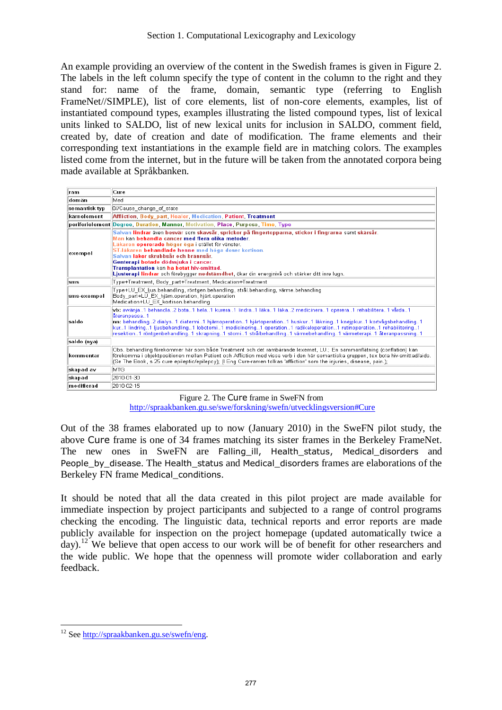An example providing an overview of the content in the Swedish frames is given in Figure 2. The labels in the left column specify the type of content in the column to the right and they stand for: name of the frame, domain, semantic type (referring to English FrameNet//SIMPLE), list of core elements, list of non-core elements, examples, list of instantiated compound types, examples illustrating the listed compound types, list of lexical units linked to SALDO, list of new lexical units for inclusion in SALDO, comment field, created by, date of creation and date of modification. The frame elements and their corresponding text instantiations in the example field are in matching colors. The examples listed come from the internet, but in the future will be taken from the annotated corpora being made available at Språkbanken.

| lram.         | Cure                                                                                                                                                                                                                                                                                                                                                                                                                                                                                                           |  |
|---------------|----------------------------------------------------------------------------------------------------------------------------------------------------------------------------------------------------------------------------------------------------------------------------------------------------------------------------------------------------------------------------------------------------------------------------------------------------------------------------------------------------------------|--|
| doman         | Med                                                                                                                                                                                                                                                                                                                                                                                                                                                                                                            |  |
| semantisk typ | D//Cause change of state                                                                                                                                                                                                                                                                                                                                                                                                                                                                                       |  |
| kärnelement   | <b>Affliction Body part Healer Medication Patient Treatment</b>                                                                                                                                                                                                                                                                                                                                                                                                                                                |  |
|               | periferielement Degree Duration Manner Motivation Place Purpose Time Type                                                                                                                                                                                                                                                                                                                                                                                                                                      |  |
| exempel       | Salvan lindrar även besvär som skavsår, sprickor på fingertopparna, stickor i fingrarna samt skärsår.<br>Man kan behandla cancer med flera olika metoder.<br>Läkaren opererade höger öga i stället för vänster.<br>ST-läkaren behandlade henne med höga doser kortison.<br>Salvan läker skrubbsår och brännsår.<br>Genterapi botade dödssjuka i cancer.<br>Transplantation kan ha botat hiv-smittad.<br>Ljusterapi lindrar och förebygger nedstämdhet, ökar din energinivå och stärker ditt inre lugn.         |  |
| sms           | Type+Treatment, Body part+Treatment, Medication+Treatment                                                                                                                                                                                                                                                                                                                                                                                                                                                      |  |
| sms-exempel   | Type+LU_EX_ljus.behandling, röntgen.behandling, strål.behandling, värme.behandling<br>Body part+LU EX hjärn.operation, hjärt.operation<br>Medication+LU EX kortison.behandling                                                                                                                                                                                                                                                                                                                                 |  |
| saldo         | vb. avvänja. 1 behandla. 2 bota. 1 hela. 1 kurera. 1 lindra. 1 läka. 1 läka. 2 medicinera. 1 operera. 1 rehabilitera. 1 vårda. 1<br>återanpassa1<br>nn: behandling2 dialys1 diatermi1 hjärnoperation1 hjärtoperation1 huskur1 läkning1 knejpkur1 kortvågsbehandling1<br>kur1 lindring1 ljusbehandling1 lobotomi1 medicinering1 operation1 radikaloperation1 rutinoperation1 rehabilitering1<br> resektion1 röntgenbehandling1 skrapning1 stomi1 strålbehandling1 värmebehandling1 värmeterapi1 återanpassning1 |  |
| saldo (nya)   |                                                                                                                                                                                                                                                                                                                                                                                                                                                                                                                |  |
| kommentar     | Obs. behandling förekommer här som både Treatment och det rambärande lexemet, LU.; En sammanflätning (conflation) kan<br>förekomma i objektpositionen mellan Patient och Affliction med vissa verb i den här semantiska gruppen, tex bota hiv-smittad/aids.<br>(Se The Book, s.25 cure epileptic/epilepcy); (I Eng Cure-ramen tolkas 'affliction' som the injuries, disease, pain.);                                                                                                                           |  |
| skapad av     | IMTG.                                                                                                                                                                                                                                                                                                                                                                                                                                                                                                          |  |
| skapad        | 2010-01-30                                                                                                                                                                                                                                                                                                                                                                                                                                                                                                     |  |
| modifierad    | 2010-02-15                                                                                                                                                                                                                                                                                                                                                                                                                                                                                                     |  |

Figure 2. The Cure frame in SweFN from [http://spraakbanken.gu.se/swe/forskning/swefn/utvecklingsversion#Cure](http://spraakbanken.gu.se/swe/forskning/swefn/utvecklingsversion#Cure ) 

Out of the 38 frames elaborated up to now (January 2010) in the SweFN pilot study, the above Cure frame is one of 34 frames matching its sister frames in the Berkeley FrameNet. The new ones in SweFN are Falling ill, Health status, Medical disorders and People by disease. The Health status and Medical disorders frames are elaborations of the Berkeley FN frame Medical\_conditions.

It should be noted that all the data created in this pilot project are made available for immediate inspection by project participants and subjected to a range of control programs checking the encoding. The linguistic data, technical reports and error reports are made publicly available for inspection on the project homepage (updated automatically twice a day).<sup>12</sup> We believe that open access to our work will be of benefit for other researchers and the wide public. We hope that the openness will promote wider collaboration and early feedback.

<sup>1</sup> <sup>12</sup> See [http://spraakbanken.gu.se/swefn/eng.](http://spraakbanken.gu.se/swefn/eng)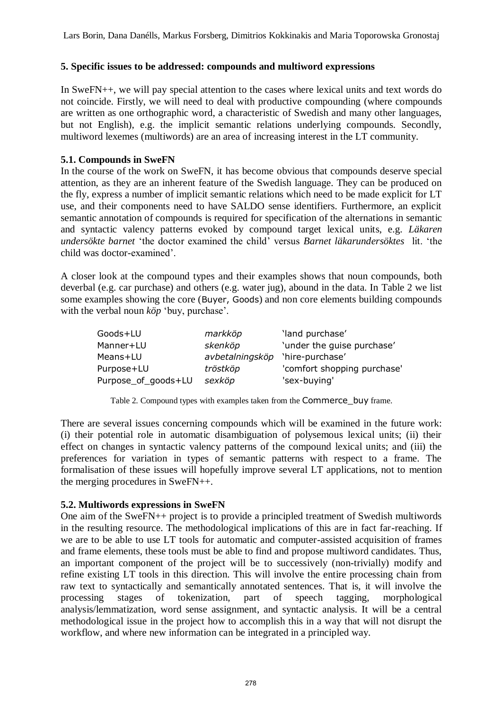Lars Borin, Dana Danélls, Markus Forsberg, Dimitrios Kokkinakis and Maria Toporowska Gronostaj

### **5. Specific issues to be addressed: compounds and multiword expressions**

In SweFN++, we will pay special attention to the cases where lexical units and text words do not coincide. Firstly, we will need to deal with productive compounding (where compounds are written as one orthographic word, a characteristic of Swedish and many other languages, but not English), e.g. the implicit semantic relations underlying compounds. Secondly, multiword lexemes (multiwords) are an area of increasing interest in the LT community.

### **5.1. Compounds in SweFN**

In the course of the work on SweFN, it has become obvious that compounds deserve special attention, as they are an inherent feature of the Swedish language. They can be produced on the fly, express a number of implicit semantic relations which need to be made explicit for LT use, and their components need to have SALDO sense identifiers. Furthermore, an explicit semantic annotation of compounds is required for specification of the alternations in semantic and syntactic valency patterns evoked by compound target lexical units, e.g. *Läkaren undersökte barnet* "the doctor examined the child" versus *Barnet läkarundersöktes* lit. "the child was doctor-examined".

A closer look at the compound types and their examples shows that noun compounds, both deverbal (e.g. car purchase) and others (e.g. water jug), abound in the data. In Table 2 we list some examples showing the core (Buyer, Goods) and non core elements building compounds with the verbal noun *köp* 'buy, purchase'.

| Goods+LU            | markköp                         | 'land purchase'             |
|---------------------|---------------------------------|-----------------------------|
| Manner+LU           | skenköp                         | 'under the guise purchase'  |
| Means+LU            | avbetalningsköp 'hire-purchase' |                             |
| Purpose+LU          | tröstköp                        | 'comfort shopping purchase' |
| Purpose_of_goods+LU | sexköp                          | 'sex-buying'                |

Table 2. Compound types with examples taken from the Commerce\_buy frame.

There are several issues concerning compounds which will be examined in the future work: (i) their potential role in automatic disambiguation of polysemous lexical units; (ii) their effect on changes in syntactic valency patterns of the compound lexical units; and (iii) the preferences for variation in types of semantic patterns with respect to a frame. The formalisation of these issues will hopefully improve several LT applications, not to mention the merging procedures in SweFN++.

### **5.2. Multiwords expressions in SweFN**

One aim of the SweFN++ project is to provide a principled treatment of Swedish multiwords in the resulting resource. The methodological implications of this are in fact far-reaching. If we are to be able to use LT tools for automatic and computer-assisted acquisition of frames and frame elements, these tools must be able to find and propose multiword candidates. Thus, an important component of the project will be to successively (non-trivially) modify and refine existing LT tools in this direction. This will involve the entire processing chain from raw text to syntactically and semantically annotated sentences. That is, it will involve the processing stages of tokenization, part of speech tagging, morphological analysis/lemmatization, word sense assignment, and syntactic analysis. It will be a central methodological issue in the project how to accomplish this in a way that will not disrupt the workflow, and where new information can be integrated in a principled way.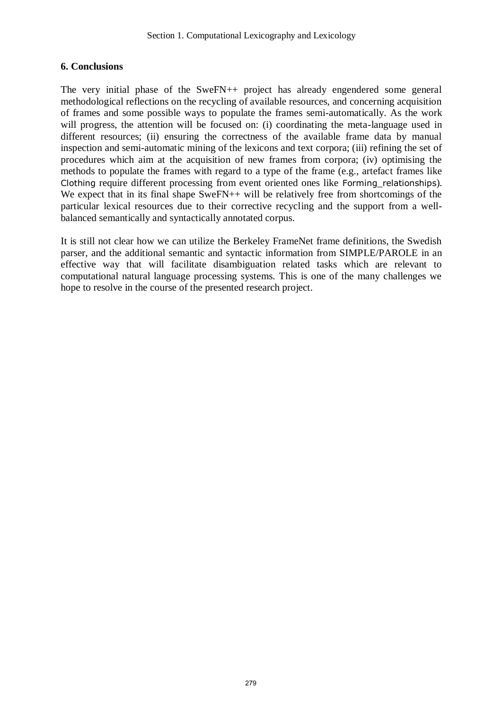# **6. Conclusions**

The very initial phase of the SweFN++ project has already engendered some general methodological reflections on the recycling of available resources, and concerning acquisition of frames and some possible ways to populate the frames semi-automatically. As the work will progress, the attention will be focused on: (i) coordinating the meta-language used in different resources; (ii) ensuring the correctness of the available frame data by manual inspection and semi-automatic mining of the lexicons and text corpora; (iii) refining the set of procedures which aim at the acquisition of new frames from corpora; (iv) optimising the methods to populate the frames with regard to a type of the frame (e.g., artefact frames like Clothing require different processing from event oriented ones like Forming\_relationships)*.* We expect that in its final shape SweFN++ will be relatively free from shortcomings of the particular lexical resources due to their corrective recycling and the support from a wellbalanced semantically and syntactically annotated corpus.

It is still not clear how we can utilize the Berkeley FrameNet frame definitions, the Swedish parser, and the additional semantic and syntactic information from SIMPLE/PAROLE in an effective way that will facilitate disambiguation related tasks which are relevant to computational natural language processing systems. This is one of the many challenges we hope to resolve in the course of the presented research project.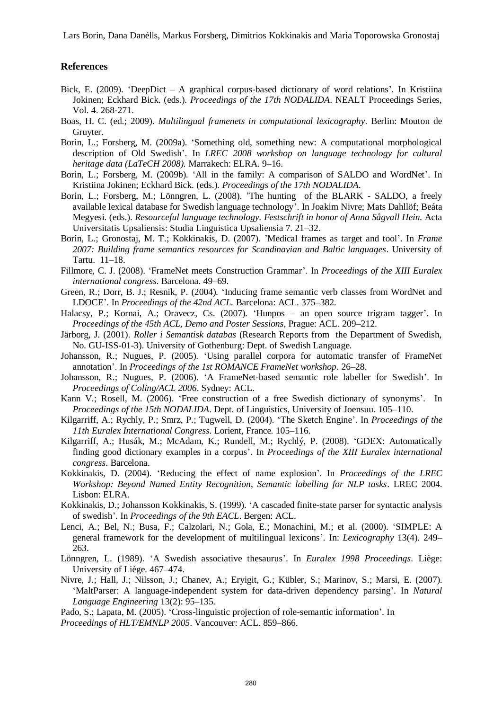Lars Borin, Dana Danélls, Markus Forsberg, Dimitrios Kokkinakis and Maria Toporowska Gronostaj

#### **References**

- Bick, E. (2009). "DeepDict A graphical corpus-based dictionary of word relations". In Kristiina Jokinen; Eckhard Bick. (eds.)*. Proceedings of the 17th NODALIDA*. NEALT Proceedings Series, Vol. 4. 268-271.
- Boas, H. C. (ed.; 2009). *Multilingual framenets in computational lexicography*. Berlin: Mouton de Gruyter.
- Borin, L.; Forsberg, M. (2009a). "Something old, something new: A computational morphological description of Old Swedish". In *LREC 2008 workshop on language technology for cultural heritage data (LaTeCH 2008).* Marrakech: ELRA. 9–16.
- Borin, L.; Forsberg, M. (2009b). 'All in the family: A comparison of SALDO and WordNet'. In Kristiina Jokinen; Eckhard Bick. (eds.)*. Proceedings of the 17th NODALIDA*.
- Borin, L.; Forsberg, M.; Lönngren, L. (2008). "The hunting of the BLARK SALDO, a freely available lexical database for Swedish language technology". In Joakim Nivre; Mats Dahllöf; Beáta Megyesi. (eds.). *Resourceful language technology. Festschrift in honor of Anna Sågvall Hein.* Acta Universitatis Upsaliensis: Studia Linguistica Upsaliensia 7. 21–32.
- Borin, L.; Gronostaj, M. T.; Kokkinakis, D. (2007). "Medical frames as target and tool". In *Frame 2007: Building frame semantics resources for Scandinavian and Baltic languages*. University of Tartu. 11–18.
- Fillmore, C. J. (2008). "FrameNet meets Construction Grammar". In *Proceedings of the XIII Euralex international congress*. Barcelona. 49–69.
- Green, R.; Dorr, B. J.; Resnik, P. (2004). "Inducing frame semantic verb classes from WordNet and LDOCE". In *Proceedings of the 42nd ACL.* Barcelona: ACL. 375–382.
- Halacsy, P.; Kornai, A.; Oravecz, Cs. (2007). 'Hunpos an open source trigram tagger'. In *Proceedings of the 45th ACL, Demo and Poster Sessions*, Prague: ACL. 209–212.
- Järborg, J. (2001). *Roller i Semantisk databas* (Research Reports from the Department of Swedish, No. GU-ISS-01-3). University of Gothenburg: Dept. of Swedish Language.
- Johansson, R.; Nugues, P. (2005). "Using parallel corpora for automatic transfer of FrameNet annotation". In *Proceedings of the 1st ROMANCE FrameNet workshop*. 26–28.
- Johansson, R.; Nugues, P. (2006). 'A FrameNet-based semantic role labeller for Swedish'. In *Proceedings of Coling/ACL 2006*. Sydney: ACL.
- Kann V.; Rosell, M. (2006). 'Free construction of a free Swedish dictionary of synonyms'. In *Proceedings of the 15th NODALIDA*. Dept. of Linguistics, University of Joensuu. 105–110.
- Kilgarriff, A.; Rychly, P.; Smrz, P.; Tugwell, D. (2004). "The Sketch Engine". In *Proceedings of the 11th Euralex International Congress*. Lorient, France. 105–116.
- Kilgarriff, A.; Husák, M.; McAdam, K.; Rundell, M.; Rychlý, P. (2008). "GDEX: Automatically finding good dictionary examples in a corpus". In *Proceedings of the XIII Euralex international congress*. Barcelona.
- Kokkinakis, D. (2004). "Reducing the effect of name explosion". In *Proceedings of the LREC Workshop: Beyond Named Entity Recognition, Semantic labelling for NLP tasks*. LREC 2004. Lisbon: ELRA.
- Kokkinakis, D.; Johansson Kokkinakis, S. (1999). "A cascaded finite-state parser for syntactic analysis of swedish". In *Proceedings of the 9th EACL*. Bergen: ACL.
- Lenci, A.; Bel, N.; Busa, F.; Calzolari, N.; Gola, E.; Monachini, M.; et al. (2000). "SIMPLE: A general framework for the development of multilingual lexicons". In: *Lexicography* 13(4). 249– 263.
- Lönngren, L. (1989). "A Swedish associative thesaurus". In *Euralex 1998 Proceedings*. Liège: University of Liège. 467–474.
- Nivre, J.; Hall, J.; Nilsson, J.; Chanev, A.; Eryigit, G.; Kübler, S.; Marinov, S.; Marsi, E. (2007). 'MaltParser: A language-independent system for data-driven dependency parsing'. In *Natural Language Engineering* 13(2): 95–135.

Pado, S.; Lapata, M. (2005). "Cross-linguistic projection of role-semantic information". In

*Proceedings of HLT/EMNLP 2005*. Vancouver: ACL. 859–866.